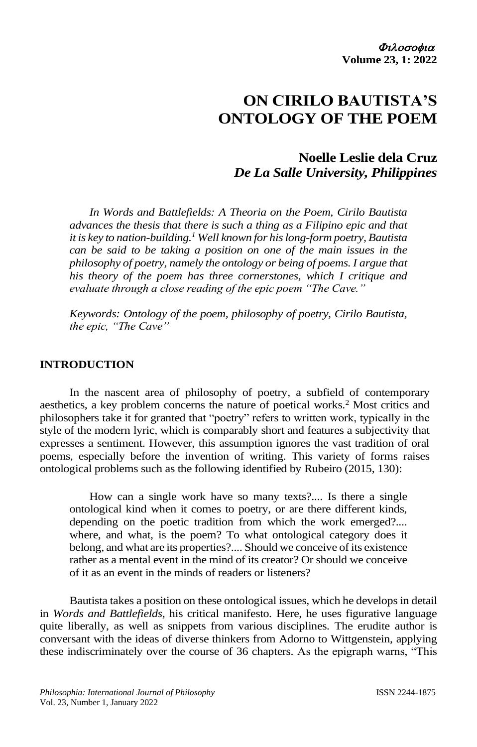# **ON CIRILO BAUTISTA'S ONTOLOGY OF THE POEM**

# **Noelle Leslie dela Cruz** *De La Salle University, Philippines*

*In Words and Battlefields: A Theoria on the Poem, Cirilo Bautista advances the thesis that there is such a thing as a Filipino epic and that it is key to nation-building. <sup>1</sup> Well known for his long-form poetry, Bautista can be said to be taking a position on one of the main issues in the philosophy of poetry, namely the ontology or being of poems. I argue that his theory of the poem has three cornerstones, which I critique and evaluate through a close reading of the epic poem "The Cave."* 

*Keywords: Ontology of the poem, philosophy of poetry, Cirilo Bautista, the epic, "The Cave"*

### **INTRODUCTION**

In the nascent area of philosophy of poetry, a subfield of contemporary aesthetics, a key problem concerns the nature of poetical works.<sup>2</sup> Most critics and philosophers take it for granted that "poetry" refers to written work, typically in the style of the modern lyric, which is comparably short and features a subjectivity that expresses a sentiment. However, this assumption ignores the vast tradition of oral poems, especially before the invention of writing. This variety of forms raises ontological problems such as the following identified by Rubeiro (2015, 130):

How can a single work have so many texts?.... Is there a single ontological kind when it comes to poetry, or are there different kinds, depending on the poetic tradition from which the work emerged?.... where, and what, is the poem? To what ontological category does it belong, and what are its properties?.... Should we conceive of its existence rather as a mental event in the mind of its creator? Or should we conceive of it as an event in the minds of readers or listeners?

Bautista takes a position on these ontological issues, which he develops in detail in *Words and Battlefields*, his critical manifesto*.* Here, he uses figurative language quite liberally, as well as snippets from various disciplines*.* The erudite author is conversant with the ideas of diverse thinkers from Adorno to Wittgenstein, applying these indiscriminately over the course of 36 chapters. As the epigraph warns, "This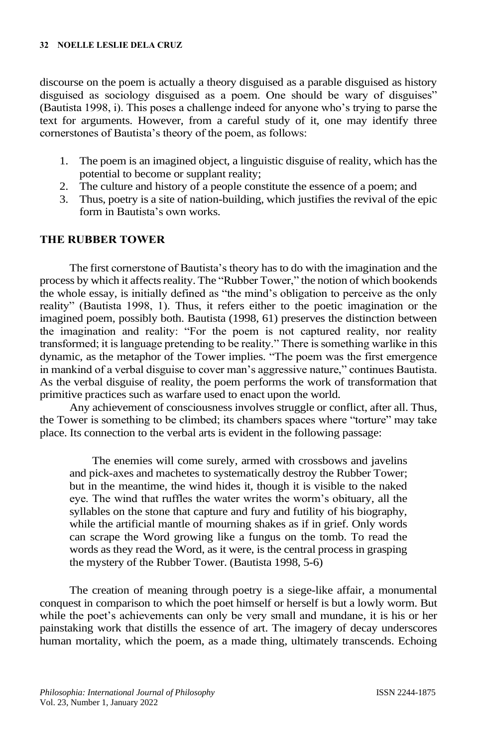discourse on the poem is actually a theory disguised as a parable disguised as history disguised as sociology disguised as a poem. One should be wary of disguises" (Bautista 1998, i). This poses a challenge indeed for anyone who's trying to parse the text for arguments. However, from a careful study of it, one may identify three cornerstones of Bautista's theory of the poem, as follows:

- 1. The poem is an imagined object, a linguistic disguise of reality, which has the potential to become or supplant reality;
- 2. The culture and history of a people constitute the essence of a poem; and
- 3. Thus, poetry is a site of nation-building, which justifies the revival of the epic form in Bautista's own works.

### **THE RUBBER TOWER**

The first cornerstone of Bautista's theory has to do with the imagination and the process by which it affects reality. The "Rubber Tower," the notion of which bookends the whole essay, is initially defined as "the mind's obligation to perceive as the only reality" (Bautista 1998, 1). Thus, it refers either to the poetic imagination or the imagined poem, possibly both. Bautista (1998, 61) preserves the distinction between the imagination and reality: "For the poem is not captured reality, nor reality transformed; it is language pretending to be reality." There is something warlike in this dynamic, as the metaphor of the Tower implies. "The poem was the first emergence in mankind of a verbal disguise to cover man's aggressive nature," continues Bautista. As the verbal disguise of reality, the poem performs the work of transformation that primitive practices such as warfare used to enact upon the world.

Any achievement of consciousness involves struggle or conflict, after all. Thus, the Tower is something to be climbed; its chambers spaces where "torture" may take place. Its connection to the verbal arts is evident in the following passage:

The enemies will come surely, armed with crossbows and javelins and pick-axes and machetes to systematically destroy the Rubber Tower; but in the meantime, the wind hides it, though it is visible to the naked eye. The wind that ruffles the water writes the worm's obituary, all the syllables on the stone that capture and fury and futility of his biography, while the artificial mantle of mourning shakes as if in grief. Only words can scrape the Word growing like a fungus on the tomb. To read the words as they read the Word, as it were, is the central process in grasping the mystery of the Rubber Tower. (Bautista 1998, 5-6)

The creation of meaning through poetry is a siege-like affair, a monumental conquest in comparison to which the poet himself or herself is but a lowly worm. But while the poet's achievements can only be very small and mundane, it is his or her painstaking work that distills the essence of art. The imagery of decay underscores human mortality, which the poem, as a made thing, ultimately transcends. Echoing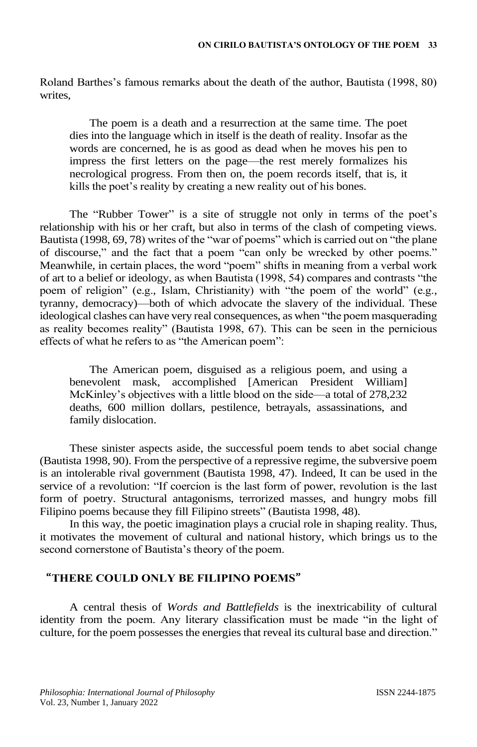Roland Barthes's famous remarks about the death of the author, Bautista (1998, 80) writes,

The poem is a death and a resurrection at the same time. The poet dies into the language which in itself is the death of reality. Insofar as the words are concerned, he is as good as dead when he moves his pen to impress the first letters on the page—the rest merely formalizes his necrological progress. From then on, the poem records itself, that is, it kills the poet's reality by creating a new reality out of his bones.

The "Rubber Tower" is a site of struggle not only in terms of the poet's relationship with his or her craft, but also in terms of the clash of competing views. Bautista (1998, 69, 78) writes of the "war of poems" which is carried out on "the plane of discourse," and the fact that a poem "can only be wrecked by other poems." Meanwhile, in certain places, the word "poem" shifts in meaning from a verbal work of art to a belief or ideology, as when Bautista (1998, 54) compares and contrasts "the poem of religion" (e.g., Islam, Christianity) with "the poem of the world" (e.g., tyranny, democracy)—both of which advocate the slavery of the individual. These ideological clashes can have very real consequences, as when "the poem masquerading as reality becomes reality" (Bautista 1998, 67). This can be seen in the pernicious effects of what he refers to as "the American poem":

The American poem, disguised as a religious poem, and using a benevolent mask, accomplished [American President William] McKinley's objectives with a little blood on the side—a total of 278,232 deaths, 600 million dollars, pestilence, betrayals, assassinations, and family dislocation.

These sinister aspects aside, the successful poem tends to abet social change (Bautista 1998, 90). From the perspective of a repressive regime, the subversive poem is an intolerable rival government (Bautista 1998, 47). Indeed, It can be used in the service of a revolution: "If coercion is the last form of power, revolution is the last form of poetry. Structural antagonisms, terrorized masses, and hungry mobs fill Filipino poems because they fill Filipino streets" (Bautista 1998, 48).

In this way, the poetic imagination plays a crucial role in shaping reality. Thus, it motivates the movement of cultural and national history, which brings us to the second cornerstone of Bautista's theory of the poem.

# "**THERE COULD ONLY BE FILIPINO POEMS**"

A central thesis of *Words and Battlefields* is the inextricability of cultural identity from the poem. Any literary classification must be made "in the light of culture, for the poem possesses the energies that reveal its cultural base and direction."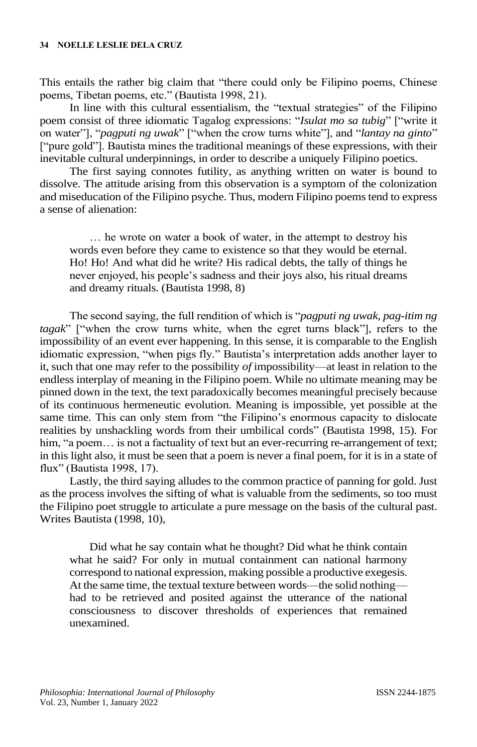This entails the rather big claim that "there could only be Filipino poems, Chinese poems, Tibetan poems, etc." (Bautista 1998, 21).

In line with this cultural essentialism, the "textual strategies" of the Filipino poem consist of three idiomatic Tagalog expressions: "*Isulat mo sa tubig*" ["write it on water"], "*pagputi ng uwak*" ["when the crow turns white"], and "*lantay na ginto*" ["pure gold"]. Bautista mines the traditional meanings of these expressions, with their inevitable cultural underpinnings, in order to describe a uniquely Filipino poetics.

The first saying connotes futility, as anything written on water is bound to dissolve. The attitude arising from this observation is a symptom of the colonization and miseducation of the Filipino psyche. Thus, modern Filipino poems tend to express a sense of alienation:

… he wrote on water a book of water, in the attempt to destroy his words even before they came to existence so that they would be eternal. Ho! Ho! And what did he write? His radical debts, the tally of things he never enjoyed, his people's sadness and their joys also, his ritual dreams and dreamy rituals. (Bautista 1998, 8)

The second saying, the full rendition of which is "*pagputi ng uwak, pag-itim ng tagak*" ["when the crow turns white, when the egret turns black"], refers to the impossibility of an event ever happening. In this sense, it is comparable to the English idiomatic expression, "when pigs fly." Bautista's interpretation adds another layer to it, such that one may refer to the possibility *of* impossibility—at least in relation to the endless interplay of meaning in the Filipino poem. While no ultimate meaning may be pinned down in the text, the text paradoxically becomes meaningful precisely because of its continuous hermeneutic evolution. Meaning is impossible, yet possible at the same time. This can only stem from "the Filipino's enormous capacity to dislocate realities by unshackling words from their umbilical cords" (Bautista 1998, 15). For him, "a poem... is not a factuality of text but an ever-recurring re-arrangement of text; in this light also, it must be seen that a poem is never a final poem, for it is in a state of flux" (Bautista 1998, 17).

Lastly, the third saying alludes to the common practice of panning for gold. Just as the process involves the sifting of what is valuable from the sediments, so too must the Filipino poet struggle to articulate a pure message on the basis of the cultural past. Writes Bautista (1998, 10),

Did what he say contain what he thought? Did what he think contain what he said? For only in mutual containment can national harmony correspond to national expression, making possible a productive exegesis. At the same time, the textual texture between words—the solid nothing had to be retrieved and posited against the utterance of the national consciousness to discover thresholds of experiences that remained unexamined.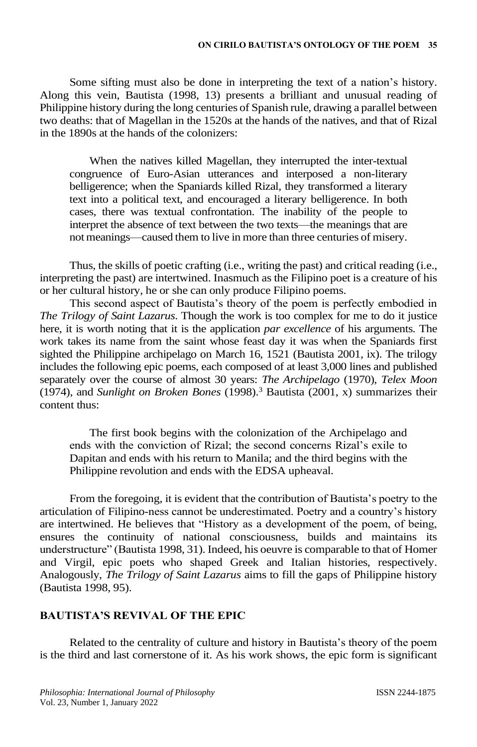Some sifting must also be done in interpreting the text of a nation's history. Along this vein, Bautista (1998, 13) presents a brilliant and unusual reading of Philippine history during the long centuries of Spanish rule, drawing a parallel between two deaths: that of Magellan in the 1520s at the hands of the natives, and that of Rizal in the 1890s at the hands of the colonizers:

When the natives killed Magellan, they interrupted the inter-textual congruence of Euro-Asian utterances and interposed a non-literary belligerence; when the Spaniards killed Rizal, they transformed a literary text into a political text, and encouraged a literary belligerence. In both cases, there was textual confrontation. The inability of the people to interpret the absence of text between the two texts—the meanings that are not meanings—caused them to live in more than three centuries of misery.

Thus, the skills of poetic crafting (i.e., writing the past) and critical reading (i.e., interpreting the past) are intertwined. Inasmuch as the Filipino poet is a creature of his or her cultural history, he or she can only produce Filipino poems.

This second aspect of Bautista's theory of the poem is perfectly embodied in *The Trilogy of Saint Lazarus*. Though the work is too complex for me to do it justice here, it is worth noting that it is the application *par excellence* of his arguments. The work takes its name from the saint whose feast day it was when the Spaniards first sighted the Philippine archipelago on March 16, 1521 (Bautista 2001, ix). The trilogy includes the following epic poems, each composed of at least 3,000 lines and published separately over the course of almost 30 years: *The Archipelago* (1970), *Telex Moon*  (1974), and *Sunlight on Broken Bones* (1998).<sup>3</sup> Bautista (2001, x) summarizes their content thus:

The first book begins with the colonization of the Archipelago and ends with the conviction of Rizal; the second concerns Rizal's exile to Dapitan and ends with his return to Manila; and the third begins with the Philippine revolution and ends with the EDSA upheaval.

From the foregoing, it is evident that the contribution of Bautista's poetry to the articulation of Filipino-ness cannot be underestimated. Poetry and a country's history are intertwined. He believes that "History as a development of the poem, of being, ensures the continuity of national consciousness, builds and maintains its understructure" (Bautista 1998, 31). Indeed, his oeuvre is comparable to that of Homer and Virgil, epic poets who shaped Greek and Italian histories, respectively. Analogously, *The Trilogy of Saint Lazarus* aims to fill the gaps of Philippine history (Bautista 1998, 95).

# **BAUTISTA'S REVIVAL OF THE EPIC**

Related to the centrality of culture and history in Bautista's theory of the poem is the third and last cornerstone of it. As his work shows, the epic form is significant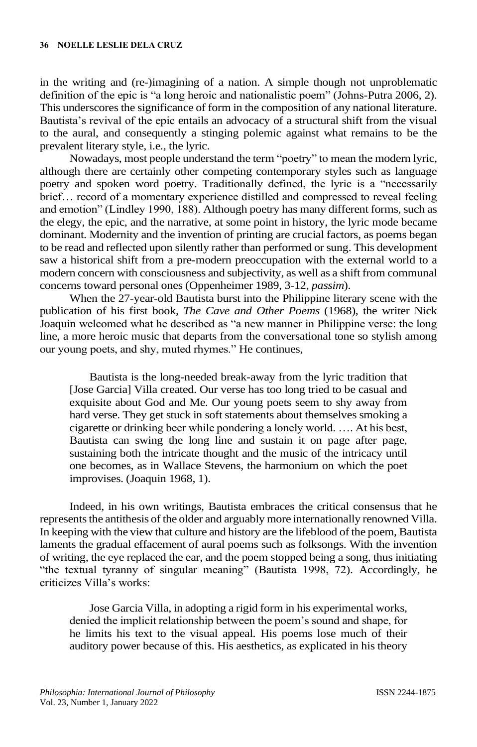in the writing and (re-)imagining of a nation. A simple though not unproblematic definition of the epic is "a long heroic and nationalistic poem" (Johns-Putra 2006, 2). This underscores the significance of form in the composition of any national literature. Bautista's revival of the epic entails an advocacy of a structural shift from the visual to the aural, and consequently a stinging polemic against what remains to be the prevalent literary style, i.e., the lyric.

Nowadays, most people understand the term "poetry" to mean the modern lyric, although there are certainly other competing contemporary styles such as language poetry and spoken word poetry. Traditionally defined, the lyric is a "necessarily brief… record of a momentary experience distilled and compressed to reveal feeling and emotion" (Lindley 1990, 188). Although poetry has many different forms, such as the elegy, the epic, and the narrative, at some point in history, the lyric mode became dominant. Modernity and the invention of printing are crucial factors, as poems began to be read and reflected upon silently rather than performed or sung. This development saw a historical shift from a pre-modern preoccupation with the external world to a modern concern with consciousness and subjectivity, as well as a shift from communal concerns toward personal ones (Oppenheimer 1989, 3-12, *passim*).

When the 27-year-old Bautista burst into the Philippine literary scene with the publication of his first book, *The Cave and Other Poems* (1968), the writer Nick Joaquin welcomed what he described as "a new manner in Philippine verse: the long line, a more heroic music that departs from the conversational tone so stylish among our young poets, and shy, muted rhymes." He continues,

Bautista is the long-needed break-away from the lyric tradition that [Jose Garcia] Villa created. Our verse has too long tried to be casual and exquisite about God and Me. Our young poets seem to shy away from hard verse. They get stuck in soft statements about themselves smoking a cigarette or drinking beer while pondering a lonely world. …. At his best, Bautista can swing the long line and sustain it on page after page, sustaining both the intricate thought and the music of the intricacy until one becomes, as in Wallace Stevens, the harmonium on which the poet improvises. (Joaquin 1968, 1).

Indeed, in his own writings, Bautista embraces the critical consensus that he represents the antithesis of the older and arguably more internationally renowned Villa. In keeping with the view that culture and history are the lifeblood of the poem, Bautista laments the gradual effacement of aural poems such as folksongs. With the invention of writing, the eye replaced the ear, and the poem stopped being a song, thus initiating "the textual tyranny of singular meaning" (Bautista 1998, 72). Accordingly, he criticizes Villa's works:

Jose Garcia Villa, in adopting a rigid form in his experimental works, denied the implicit relationship between the poem's sound and shape, for he limits his text to the visual appeal. His poems lose much of their auditory power because of this. His aesthetics, as explicated in his theory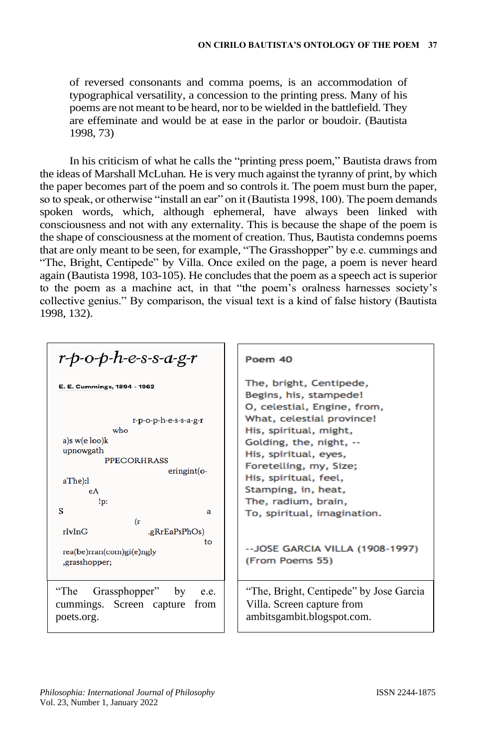of reversed consonants and comma poems, is an accommodation of typographical versatility, a concession to the printing press. Many of his poems are not meant to be heard, nor to be wielded in the battlefield. They are effeminate and would be at ease in the parlor or boudoir. (Bautista 1998, 73)

In his criticism of what he calls the "printing press poem," Bautista draws from the ideas of Marshall McLuhan*.* He is very much against the tyranny of print, by which the paper becomes part of the poem and so controls it. The poem must burn the paper, so to speak, or otherwise "install an ear" on it (Bautista 1998, 100). The poem demands spoken words, which, although ephemeral, have always been linked with consciousness and not with any externality. This is because the shape of the poem is the shape of consciousness at the moment of creation. Thus, Bautista condemns poems that are only meant to be seen, for example, "The Grasshopper" by e.e. cummings and "The, Bright, Centipede" by Villa. Once exiled on the page, a poem is never heard again (Bautista 1998, 103-105). He concludes that the poem as a speech act is superior to the poem as a machine act, in that "the poem's oralness harnesses society's collective genius." By comparison, the visual text is a kind of false history (Bautista 1998, 132).

| $r$ -p-o-p-h-e-s-s-a-g-r                                                                                                                                     | Poem 40                                                                                                                                                                                                                                                               |
|--------------------------------------------------------------------------------------------------------------------------------------------------------------|-----------------------------------------------------------------------------------------------------------------------------------------------------------------------------------------------------------------------------------------------------------------------|
| E. E. Cummings, 1894 - 1962<br>$r-p-o-p-h-e-s-s-a-g-r$<br>who<br>a)s $w(e \text{loo})k$<br>upnowgath<br><b>PPEGORHRASS</b><br>$eringint(o-$<br>aThe):l<br>eA | The, bright, Centipede,<br>Begins, his, stampede!<br>O, celestial, Engine, from,<br>What, celestial province!<br>His, spiritual, might,<br>Golding, the, night, --<br>His, spiritual, eyes,<br>Foretelling, my, Size;<br>His, spiritual, feel,<br>Stamping, in, heat, |
| !p:<br>s<br>a<br>(r                                                                                                                                          | The, radium, brain,<br>To, spiritual, imagination.                                                                                                                                                                                                                    |
| rIvInG<br>.gRrEaPsPhOs)<br>to<br>rea(be)rran(com)gi(e)ngly<br>,grasshopper;                                                                                  | -- JOSE GARCIA VILLA (1908-1997)<br>(From Poems 55)                                                                                                                                                                                                                   |
| Grassphopper" by<br>''The<br>e.e.<br>cummings. Screen capture<br>from<br>poets.org.                                                                          | "The, Bright, Centipede" by Jose Garcia<br>Villa. Screen capture from<br>ambitsgambit.blogspot.com.                                                                                                                                                                   |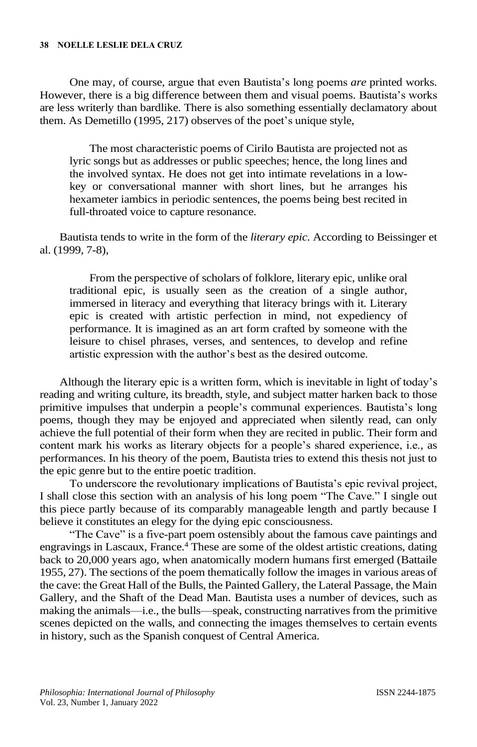#### **38 NOELLE LESLIE DELA CRUZ**

One may, of course, argue that even Bautista's long poems *are* printed works. However, there is a big difference between them and visual poems. Bautista's works are less writerly than bardlike. There is also something essentially declamatory about them. As Demetillo (1995, 217) observes of the poet's unique style,

The most characteristic poems of Cirilo Bautista are projected not as lyric songs but as addresses or public speeches; hence, the long lines and the involved syntax. He does not get into intimate revelations in a lowkey or conversational manner with short lines, but he arranges his hexameter iambics in periodic sentences, the poems being best recited in full-throated voice to capture resonance.

Bautista tends to write in the form of the *literary epic*. According to Beissinger et al. (1999, 7-8),

From the perspective of scholars of folklore, literary epic, unlike oral traditional epic, is usually seen as the creation of a single author, immersed in literacy and everything that literacy brings with it. Literary epic is created with artistic perfection in mind, not expediency of performance. It is imagined as an art form crafted by someone with the leisure to chisel phrases, verses, and sentences, to develop and refine artistic expression with the author's best as the desired outcome.

Although the literary epic is a written form, which is inevitable in light of today's reading and writing culture, its breadth, style, and subject matter harken back to those primitive impulses that underpin a people's communal experiences. Bautista's long poems, though they may be enjoyed and appreciated when silently read, can only achieve the full potential of their form when they are recited in public. Their form and content mark his works as literary objects for a people's shared experience, i.e., as performances. In his theory of the poem, Bautista tries to extend this thesis not just to the epic genre but to the entire poetic tradition.

To underscore the revolutionary implications of Bautista's epic revival project, I shall close this section with an analysis of his long poem "The Cave." I single out this piece partly because of its comparably manageable length and partly because I believe it constitutes an elegy for the dying epic consciousness.

"The Cave" is a five-part poem ostensibly about the famous cave paintings and engravings in Lascaux, France.<sup>4</sup> These are some of the oldest artistic creations, dating back to 20,000 years ago, when anatomically modern humans first emerged (Battaile 1955, 27). The sections of the poem thematically follow the images in various areas of the cave: the Great Hall of the Bulls, the Painted Gallery, the Lateral Passage, the Main Gallery, and the Shaft of the Dead Man. Bautista uses a number of devices, such as making the animals—i.e., the bulls—speak, constructing narratives from the primitive scenes depicted on the walls, and connecting the images themselves to certain events in history, such as the Spanish conquest of Central America.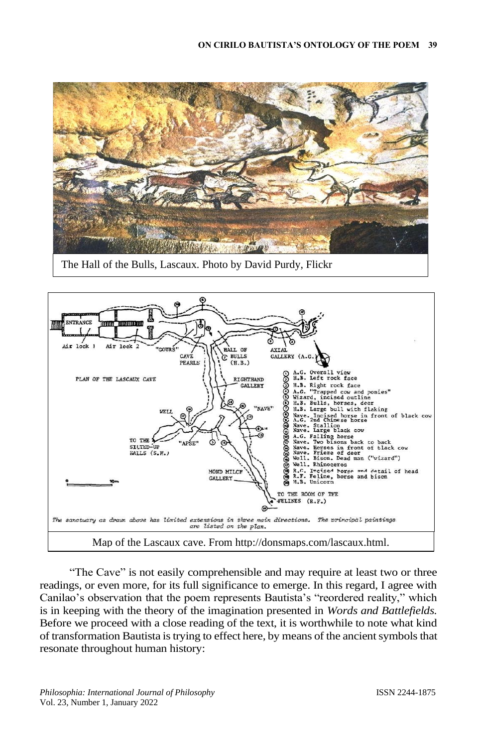

The Hall of the Bulls, Lascaux. Photo by David Purdy, Flickr



"The Cave" is not easily comprehensible and may require at least two or three readings, or even more, for its full significance to emerge. In this regard, I agree with Canilao's observation that the poem represents Bautista's "reordered reality," which is in keeping with the theory of the imagination presented in *Words and Battlefields.*  Before we proceed with a close reading of the text, it is worthwhile to note what kind of transformation Bautista is trying to effect here, by means of the ancient symbols that resonate throughout human history: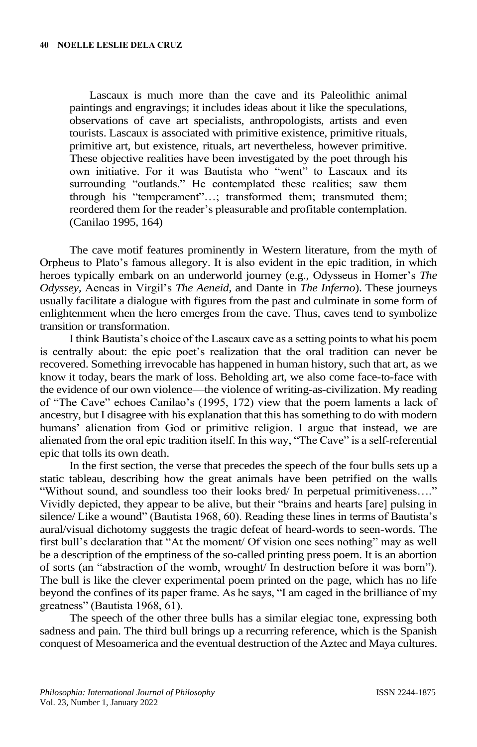Lascaux is much more than the cave and its Paleolithic animal paintings and engravings; it includes ideas about it like the speculations, observations of cave art specialists, anthropologists, artists and even tourists. Lascaux is associated with primitive existence, primitive rituals, primitive art, but existence, rituals, art nevertheless, however primitive. These objective realities have been investigated by the poet through his own initiative. For it was Bautista who "went" to Lascaux and its surrounding "outlands." He contemplated these realities; saw them through his "temperament"…; transformed them; transmuted them; reordered them for the reader's pleasurable and profitable contemplation. (Canilao 1995, 164)

The cave motif features prominently in Western literature, from the myth of Orpheus to Plato's famous allegory. It is also evident in the epic tradition, in which heroes typically embark on an underworld journey (e.g., Odysseus in Homer's *The Odyssey,* Aeneas in Virgil's *The Aeneid*, and Dante in *The Inferno*). These journeys usually facilitate a dialogue with figures from the past and culminate in some form of enlightenment when the hero emerges from the cave. Thus, caves tend to symbolize transition or transformation.

I think Bautista's choice of the Lascaux cave as a setting points to what his poem is centrally about: the epic poet's realization that the oral tradition can never be recovered. Something irrevocable has happened in human history, such that art, as we know it today, bears the mark of loss. Beholding art, we also come face-to-face with the evidence of our own violence—the violence of writing-as-civilization. My reading of "The Cave" echoes Canilao's (1995, 172) view that the poem laments a lack of ancestry, but I disagree with his explanation that this has something to do with modern humans' alienation from God or primitive religion. I argue that instead, we are alienated from the oral epic tradition itself. In this way, "The Cave" is a self-referential epic that tolls its own death.

In the first section, the verse that precedes the speech of the four bulls sets up a static tableau, describing how the great animals have been petrified on the walls "Without sound, and soundless too their looks bred/ In perpetual primitiveness…." Vividly depicted, they appear to be alive, but their "brains and hearts [are] pulsing in silence/ Like a wound" (Bautista 1968, 60). Reading these lines in terms of Bautista's aural/visual dichotomy suggests the tragic defeat of heard-words to seen-words. The first bull's declaration that "At the moment/ Of vision one sees nothing" may as well be a description of the emptiness of the so-called printing press poem. It is an abortion of sorts (an "abstraction of the womb, wrought/ In destruction before it was born"). The bull is like the clever experimental poem printed on the page, which has no life beyond the confines of its paper frame. As he says, "I am caged in the brilliance of my greatness" (Bautista 1968, 61).

The speech of the other three bulls has a similar elegiac tone, expressing both sadness and pain. The third bull brings up a recurring reference, which is the Spanish conquest of Mesoamerica and the eventual destruction of the Aztec and Maya cultures.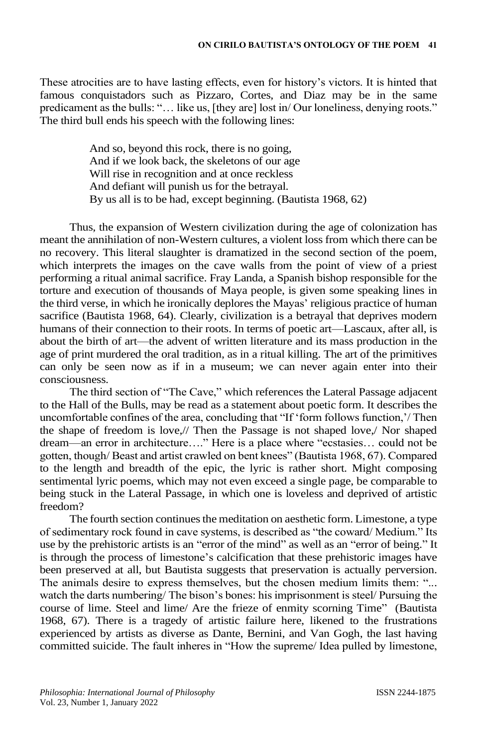These atrocities are to have lasting effects, even for history's victors. It is hinted that famous conquistadors such as Pizzaro, Cortes, and Diaz may be in the same predicament as the bulls: "… like us, [they are] lost in/ Our loneliness, denying roots." The third bull ends his speech with the following lines:

> And so, beyond this rock, there is no going, And if we look back, the skeletons of our age Will rise in recognition and at once reckless And defiant will punish us for the betrayal. By us all is to be had, except beginning. (Bautista 1968, 62)

Thus, the expansion of Western civilization during the age of colonization has meant the annihilation of non-Western cultures, a violent loss from which there can be no recovery. This literal slaughter is dramatized in the second section of the poem, which interprets the images on the cave walls from the point of view of a priest performing a ritual animal sacrifice. Fray Landa, a Spanish bishop responsible for the torture and execution of thousands of Maya people, is given some speaking lines in the third verse, in which he ironically deplores the Mayas' religious practice of human sacrifice (Bautista 1968, 64). Clearly, civilization is a betrayal that deprives modern humans of their connection to their roots. In terms of poetic art—Lascaux, after all, is about the birth of art—the advent of written literature and its mass production in the age of print murdered the oral tradition, as in a ritual killing. The art of the primitives can only be seen now as if in a museum; we can never again enter into their consciousness.

The third section of "The Cave," which references the Lateral Passage adjacent to the Hall of the Bulls, may be read as a statement about poetic form. It describes the uncomfortable confines of the area, concluding that "If 'form follows function,'/ Then the shape of freedom is love,// Then the Passage is not shaped love,/ Nor shaped dream—an error in architecture…." Here is a place where "ecstasies… could not be gotten, though/ Beast and artist crawled on bent knees" (Bautista 1968, 67). Compared to the length and breadth of the epic, the lyric is rather short. Might composing sentimental lyric poems, which may not even exceed a single page, be comparable to being stuck in the Lateral Passage, in which one is loveless and deprived of artistic freedom?

The fourth section continues the meditation on aesthetic form. Limestone, a type of sedimentary rock found in cave systems, is described as "the coward/ Medium." Its use by the prehistoric artists is an "error of the mind" as well as an "error of being." It is through the process of limestone's calcification that these prehistoric images have been preserved at all, but Bautista suggests that preservation is actually perversion. The animals desire to express themselves, but the chosen medium limits them: "... watch the darts numbering/ The bison's bones: his imprisonment is steel/ Pursuing the course of lime. Steel and lime/ Are the frieze of enmity scorning Time" (Bautista 1968, 67). There is a tragedy of artistic failure here, likened to the frustrations experienced by artists as diverse as Dante, Bernini, and Van Gogh, the last having committed suicide. The fault inheres in "How the supreme/ Idea pulled by limestone,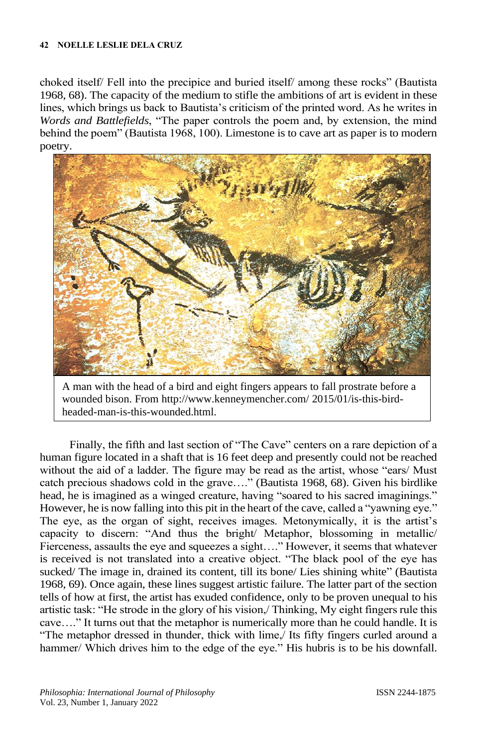#### **42 NOELLE LESLIE DELA CRUZ**

choked itself/ Fell into the precipice and buried itself/ among these rocks" (Bautista 1968, 68). The capacity of the medium to stifle the ambitions of art is evident in these lines, which brings us back to Bautista's criticism of the printed word. As he writes in *Words and Battlefields*, "The paper controls the poem and, by extension, the mind behind the poem" (Bautista 1968, 100). Limestone is to cave art as paper is to modern poetry.



A man with the head of a bird and eight fingers appears to fall prostrate before a wounded bison. From<http://www.kenneymencher.com/> 2015/01/is-this-birdheaded-man-is-this-wounded.html.

Finally, the fifth and last section of "The Cave" centers on a rare depiction of a human figure located in a shaft that is 16 feet deep and presently could not be reached without the aid of a ladder. The figure may be read as the artist, whose "ears/ Must catch precious shadows cold in the grave…." (Bautista 1968, 68). Given his birdlike head, he is imagined as a winged creature, having "soared to his sacred imaginings." However, he is now falling into this pit in the heart of the cave, called a "yawning eye." The eye, as the organ of sight, receives images. Metonymically, it is the artist's capacity to discern: "And thus the bright/ Metaphor, blossoming in metallic/ Fierceness, assaults the eye and squeezes a sight…." However, it seems that whatever is received is not translated into a creative object. "The black pool of the eye has sucked/ The image in, drained its content, till its bone/ Lies shining white" (Bautista 1968, 69). Once again, these lines suggest artistic failure. The latter part of the section tells of how at first, the artist has exuded confidence, only to be proven unequal to his artistic task: "He strode in the glory of his vision,/ Thinking, My eight fingers rule this cave…." It turns out that the metaphor is numerically more than he could handle. It is "The metaphor dressed in thunder, thick with lime,/ Its fifty fingers curled around a hammer/ Which drives him to the edge of the eye." His hubris is to be his downfall.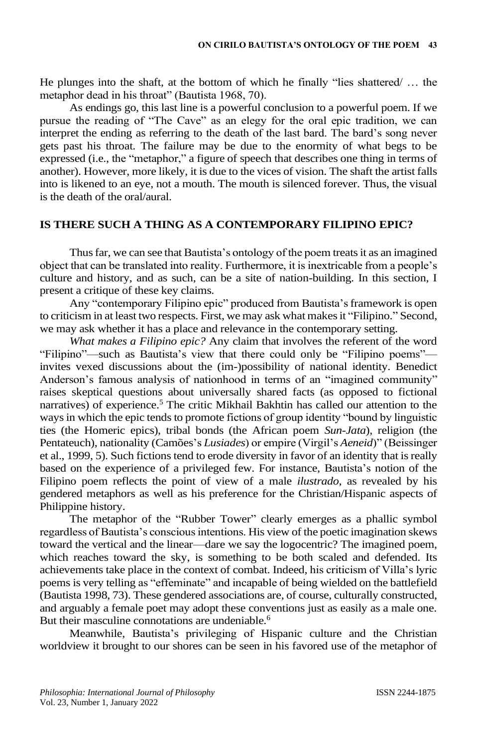He plunges into the shaft, at the bottom of which he finally "lies shattered/ … the metaphor dead in his throat" (Bautista 1968, 70).

As endings go, this last line is a powerful conclusion to a powerful poem. If we pursue the reading of "The Cave" as an elegy for the oral epic tradition, we can interpret the ending as referring to the death of the last bard. The bard's song never gets past his throat. The failure may be due to the enormity of what begs to be expressed (i.e., the "metaphor," a figure of speech that describes one thing in terms of another). However, more likely, it is due to the vices of vision. The shaft the artist falls into is likened to an eye, not a mouth. The mouth is silenced forever. Thus, the visual is the death of the oral/aural.

### **IS THERE SUCH A THING AS A CONTEMPORARY FILIPINO EPIC?**

Thus far, we can see that Bautista's ontology of the poem treats it as an imagined object that can be translated into reality. Furthermore, it is inextricable from a people's culture and history, and as such, can be a site of nation-building. In this section, I present a critique of these key claims.

Any "contemporary Filipino epic" produced from Bautista's framework is open to criticism in at least two respects. First, we may ask what makes it "Filipino." Second, we may ask whether it has a place and relevance in the contemporary setting.

*What makes a Filipino epic?* Any claim that involves the referent of the word "Filipino"—such as Bautista's view that there could only be "Filipino poems" invites vexed discussions about the (im-)possibility of national identity. Benedict Anderson's famous analysis of nationhood in terms of an "imagined community" raises skeptical questions about universally shared facts (as opposed to fictional narratives) of experience.<sup>5</sup> The critic Mikhail Bakhtin has called our attention to the ways in which the epic tends to promote fictions of group identity "bound by linguistic ties (the Homeric epics), tribal bonds (the African poem *Sun-Jata*), religion (the Pentateuch), nationality (Camões's *Lusiades*) or empire (Virgil's *Aeneid*)" (Beissinger et al., 1999, 5). Such fictions tend to erode diversity in favor of an identity that is really based on the experience of a privileged few. For instance, Bautista's notion of the Filipino poem reflects the point of view of a male *ilustrado*, as revealed by his gendered metaphors as well as his preference for the Christian/Hispanic aspects of Philippine history.

The metaphor of the "Rubber Tower" clearly emerges as a phallic symbol regardless of Bautista's conscious intentions. His view of the poetic imagination skews toward the vertical and the linear—dare we say the logocentric? The imagined poem, which reaches toward the sky, is something to be both scaled and defended. Its achievements take place in the context of combat. Indeed, his criticism of Villa's lyric poems is very telling as "effeminate" and incapable of being wielded on the battlefield (Bautista 1998, 73). These gendered associations are, of course, culturally constructed, and arguably a female poet may adopt these conventions just as easily as a male one. But their masculine connotations are undeniable.<sup>6</sup>

Meanwhile, Bautista's privileging of Hispanic culture and the Christian worldview it brought to our shores can be seen in his favored use of the metaphor of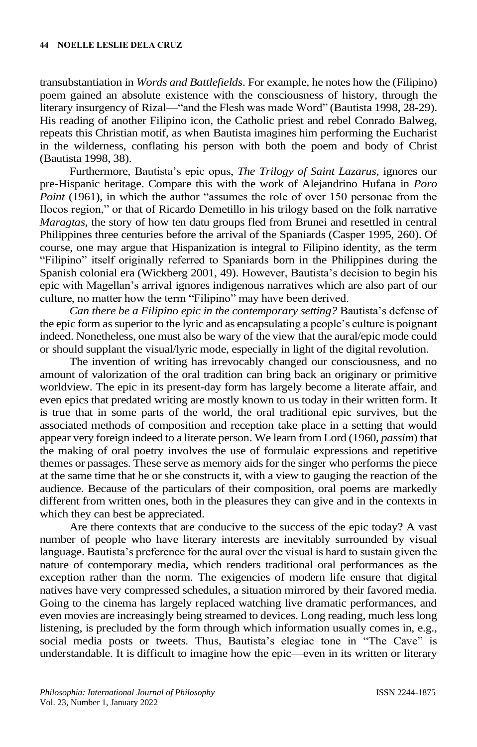transubstantiation in *Words and Battlefields*. For example, he notes how the (Filipino) poem gained an absolute existence with the consciousness of history, through the literary insurgency of Rizal—"and the Flesh was made Word" (Bautista 1998, 28-29). His reading of another Filipino icon, the Catholic priest and rebel Conrado Balweg, repeats this Christian motif, as when Bautista imagines him performing the Eucharist in the wilderness, conflating his person with both the poem and body of Christ (Bautista 1998, 38).

Furthermore, Bautista's epic opus, *The Trilogy of Saint Lazarus*, ignores our pre-Hispanic heritage. Compare this with the work of Alejandrino Hufana in *Poro Point* (1961), in which the author "assumes the role of over 150 personae from the Ilocos region," or that of Ricardo Demetillo in his trilogy based on the folk narrative *Maragtas,* the story of how ten datu groups fled from Brunei and resettled in central Philippines three centuries before the arrival of the Spaniards (Casper 1995, 260). Of course, one may argue that Hispanization is integral to Filipino identity, as the term "Filipino" itself originally referred to Spaniards born in the Philippines during the Spanish colonial era (Wickberg 2001, 49). However, Bautista's decision to begin his epic with Magellan's arrival ignores indigenous narratives which are also part of our culture, no matter how the term "Filipino" may have been derived.

*Can there be a Filipino epic in the contemporary setting?* Bautista's defense of the epic form as superior to the lyric and as encapsulating a people's culture is poignant indeed. Nonetheless, one must also be wary of the view that the aural/epic mode could or should supplant the visual/lyric mode, especially in light of the digital revolution.

The invention of writing has irrevocably changed our consciousness, and no amount of valorization of the oral tradition can bring back an originary or primitive worldview. The epic in its present-day form has largely become a literate affair, and even epics that predated writing are mostly known to us today in their written form. It is true that in some parts of the world, the oral traditional epic survives, but the associated methods of composition and reception take place in a setting that would appear very foreign indeed to a literate person. We learn from Lord (1960, *passim*) that the making of oral poetry involves the use of formulaic expressions and repetitive themes or passages. These serve as memory aids for the singer who performs the piece at the same time that he or she constructs it, with a view to gauging the reaction of the audience. Because of the particulars of their composition, oral poems are markedly different from written ones, both in the pleasures they can give and in the contexts in which they can best be appreciated.

Are there contexts that are conducive to the success of the epic today? A vast number of people who have literary interests are inevitably surrounded by visual language. Bautista's preference for the aural over the visual is hard to sustain given the nature of contemporary media, which renders traditional oral performances as the exception rather than the norm. The exigencies of modern life ensure that digital natives have very compressed schedules, a situation mirrored by their favored media. Going to the cinema has largely replaced watching live dramatic performances, and even movies are increasingly being streamed to devices. Long reading, much less long listening, is precluded by the form through which information usually comes in, e.g., social media posts or tweets. Thus, Bautista's elegiac tone in "The Cave" is understandable. It is difficult to imagine how the epic—even in its written or literary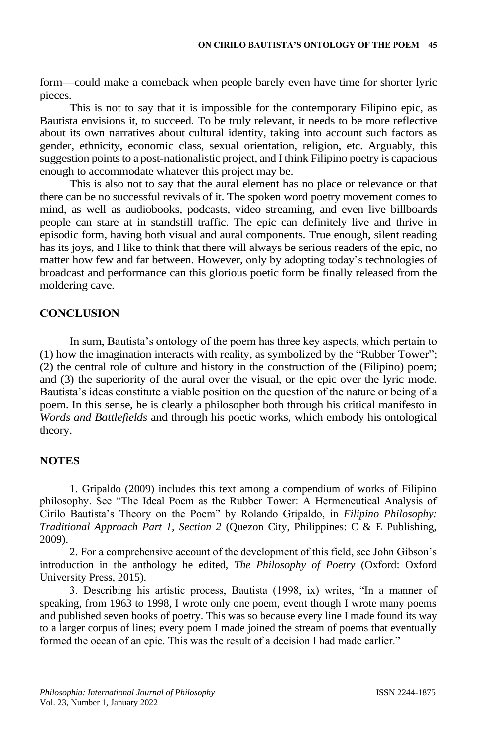form—could make a comeback when people barely even have time for shorter lyric pieces.

This is not to say that it is impossible for the contemporary Filipino epic, as Bautista envisions it, to succeed. To be truly relevant, it needs to be more reflective about its own narratives about cultural identity, taking into account such factors as gender, ethnicity, economic class, sexual orientation, religion, etc. Arguably, this suggestion points to a post-nationalistic project, and I think Filipino poetry is capacious enough to accommodate whatever this project may be.

This is also not to say that the aural element has no place or relevance or that there can be no successful revivals of it. The spoken word poetry movement comes to mind, as well as audiobooks, podcasts, video streaming, and even live billboards people can stare at in standstill traffic. The epic can definitely live and thrive in episodic form, having both visual and aural components. True enough, silent reading has its joys, and I like to think that there will always be serious readers of the epic, no matter how few and far between. However, only by adopting today's technologies of broadcast and performance can this glorious poetic form be finally released from the moldering cave.

# **CONCLUSION**

In sum, Bautista's ontology of the poem has three key aspects, which pertain to (1) how the imagination interacts with reality, as symbolized by the "Rubber Tower"; (2) the central role of culture and history in the construction of the (Filipino) poem; and (3) the superiority of the aural over the visual, or the epic over the lyric mode. Bautista's ideas constitute a viable position on the question of the nature or being of a poem. In this sense, he is clearly a philosopher both through his critical manifesto in *Words and Battlefields* and through his poetic works, which embody his ontological theory.

## **NOTES**

1. Gripaldo (2009) includes this text among a compendium of works of Filipino philosophy. See "The Ideal Poem as the Rubber Tower: A Hermeneutical Analysis of Cirilo Bautista's Theory on the Poem" by Rolando Gripaldo, in *Filipino Philosophy: Traditional Approach Part 1, Section 2* (Quezon City, Philippines: C & E Publishing, 2009).

2. For a comprehensive account of the development of this field, see John Gibson's introduction in the anthology he edited, *The Philosophy of Poetry* (Oxford: Oxford University Press, 2015).

3. Describing his artistic process, Bautista (1998, ix) writes, "In a manner of speaking, from 1963 to 1998, I wrote only one poem, event though I wrote many poems and published seven books of poetry. This was so because every line I made found its way to a larger corpus of lines; every poem I made joined the stream of poems that eventually formed the ocean of an epic. This was the result of a decision I had made earlier."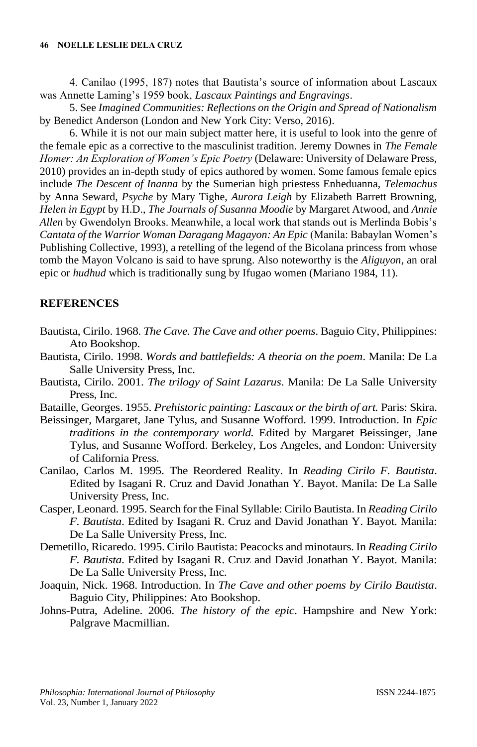4. Canilao (1995, 187) notes that Bautista's source of information about Lascaux was Annette Laming's 1959 book, *Lascaux Paintings and Engravings*.

5. See *Imagined Communities: Reflections on the Origin and Spread of Nationalism* by Benedict Anderson (London and New York City: Verso, 2016).

6. While it is not our main subject matter here, it is useful to look into the genre of the female epic as a corrective to the masculinist tradition. Jeremy Downes in *The Female Homer: An Exploration of Women's Epic Poetry* (Delaware: University of Delaware Press, 2010) provides an in-depth study of epics authored by women. Some famous female epics include *The Descent of Inanna* by the Sumerian high priestess Enheduanna, *Telemachus* by Anna Seward, *Psyche* by Mary Tighe, *Aurora Leigh* by Elizabeth Barrett Browning, *Helen in Egypt* by H.D., *The Journals of Susanna Moodie* by Margaret Atwood, and *Annie Allen* by Gwendolyn Brooks. Meanwhile, a local work that stands out is Merlinda Bobis's *Cantata of the Warrior Woman Daragang Magayon: An Epic* (Manila: Babaylan Women's Publishing Collective, 1993), a retelling of the legend of the Bicolana princess from whose tomb the Mayon Volcano is said to have sprung. Also noteworthy is the *Aliguyon*, an oral epic or *hudhud* which is traditionally sung by Ifugao women (Mariano 1984, 11).

### **REFERENCES**

- Bautista, Cirilo. 1968. *The Cave. The Cave and other poems*. Baguio City, Philippines: Ato Bookshop.
- Bautista, Cirilo. 1998. *Words and battlefields: A theoria on the poem*. Manila: De La Salle University Press, Inc.
- Bautista, Cirilo. 2001. *The trilogy of Saint Lazarus*. Manila: De La Salle University Press, Inc.
- Bataille, Georges. 1955. *Prehistoric painting: Lascaux or the birth of art.* Paris: Skira.
- Beissinger, Margaret, Jane Tylus, and Susanne Wofford. 1999. Introduction. In *Epic traditions in the contemporary world.* Edited by Margaret Beissinger, Jane Tylus, and Susanne Wofford. Berkeley, Los Angeles, and London: University of California Press.
- Canilao, Carlos M. 1995. The Reordered Reality. In *Reading Cirilo F. Bautista*. Edited by Isagani R. Cruz and David Jonathan Y. Bayot. Manila: De La Salle University Press, Inc.
- Casper, Leonard. 1995. Search for the Final Syllable: Cirilo Bautista. In *Reading Cirilo F. Bautista*. Edited by Isagani R. Cruz and David Jonathan Y. Bayot. Manila: De La Salle University Press, Inc.
- Demetillo, Ricaredo. 1995. Cirilo Bautista: Peacocks and minotaurs. In *Reading Cirilo F. Bautista*. Edited by Isagani R. Cruz and David Jonathan Y. Bayot. Manila: De La Salle University Press, Inc.
- Joaquin, Nick. 1968. Introduction. In *The Cave and other poems by Cirilo Bautista*. Baguio City, Philippines: Ato Bookshop.
- Johns-Putra, Adeline. 2006. *The history of the epic*. Hampshire and New York: Palgrave Macmillian.